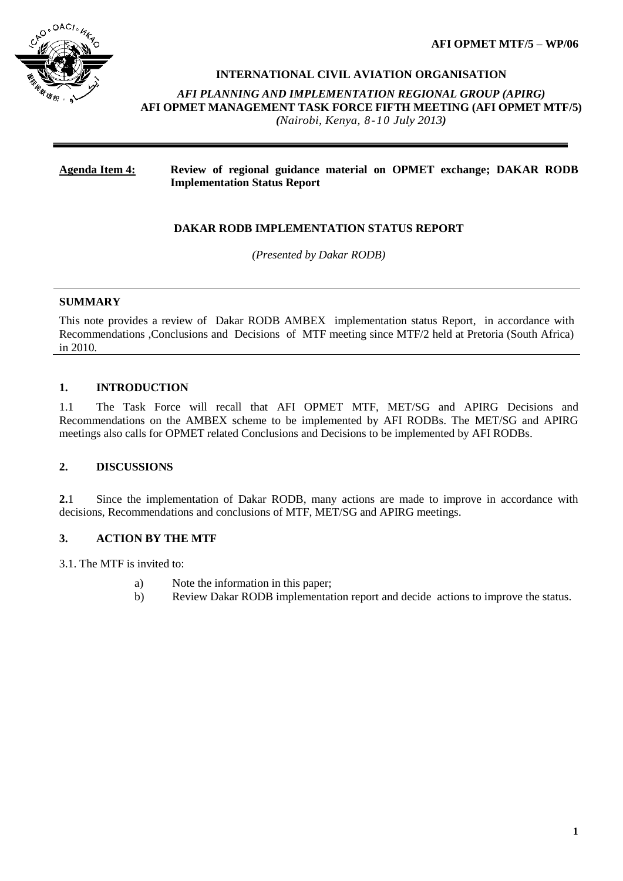**AFI OPMET MTF/5 – WP/06**



#### **INTERNATIONAL CIVIL AVIATION ORGANISATION**

*AFI PLANNING AND IMPLEMENTATION REGIONAL GROUP (APIRG)* **AFI OPMET MANAGEMENT TASK FORCE FIFTH MEETING (AFI OPMET MTF/5)**  *(Nairobi, Kenya, 8-10 July 2013)*

## **Agenda Item 4: Review of regional guidance material on OPMET exchange; DAKAR RODB Implementation Status Report**

## **DAKAR RODB IMPLEMENTATION STATUS REPORT**

*(Presented by Dakar RODB)*

#### **SUMMARY**

This note provides a review of Dakar RODB AMBEX implementation status Report, in accordance with Recommendations ,Conclusions and Decisions of MTF meeting since MTF/2 held at Pretoria (South Africa) in 2010.

### **1. INTRODUCTION**

1.1 The Task Force will recall that AFI OPMET MTF, MET/SG and APIRG Decisions and Recommendations on the AMBEX scheme to be implemented by AFI RODBs. The MET/SG and APIRG meetings also calls for OPMET related Conclusions and Decisions to be implemented by AFI RODBs.

#### **2. DISCUSSIONS**

**2.**1 Since the implementation of Dakar RODB, many actions are made to improve in accordance with decisions, Recommendations and conclusions of MTF, MET/SG and APIRG meetings.

## **3. ACTION BY THE MTF**

3.1. The MTF is invited to:

- a) Note the information in this paper;
- b) Review Dakar RODB implementation report and decide actions to improve the status.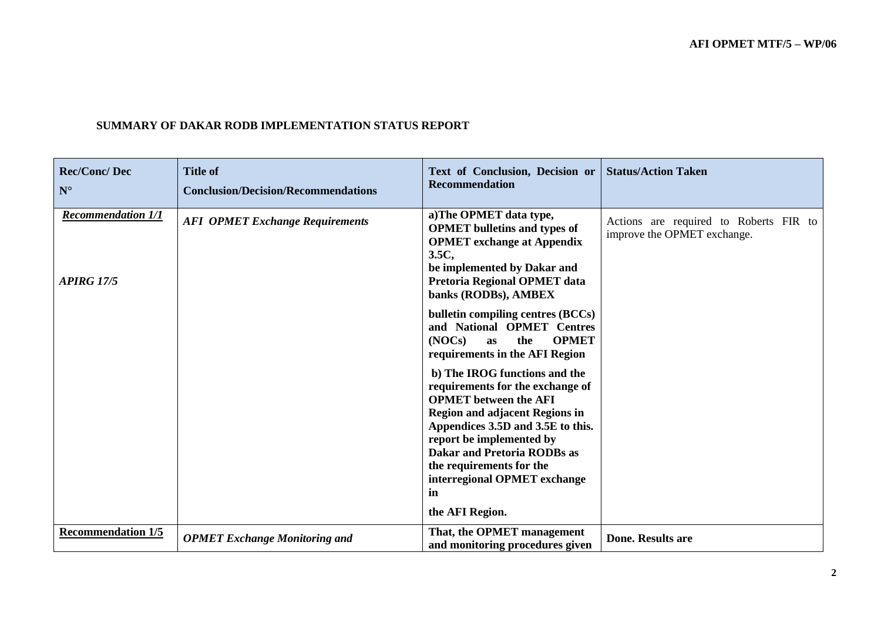| <b>Rec/Conc/Dec</b><br>$N^{\circ}$             | <b>Title of</b><br><b>Conclusion/Decision/Recommendations</b> | Text of Conclusion, Decision or<br><b>Recommendation</b>                                                                                                                                                                                                                                                                                                                                                                                                                           | <b>Status/Action Taken</b>                                            |
|------------------------------------------------|---------------------------------------------------------------|------------------------------------------------------------------------------------------------------------------------------------------------------------------------------------------------------------------------------------------------------------------------------------------------------------------------------------------------------------------------------------------------------------------------------------------------------------------------------------|-----------------------------------------------------------------------|
| <b>Recommendation 1/1</b><br><b>APIRG 17/5</b> | <b>AFI OPMET Exchange Requirements</b>                        | a)The OPMET data type,<br><b>OPMET</b> bulletins and types of<br><b>OPMET</b> exchange at Appendix<br>3.5C,<br>be implemented by Dakar and<br>Pretoria Regional OPMET data<br>banks (RODBs), AMBEX                                                                                                                                                                                                                                                                                 | Actions are required to Roberts FIR to<br>improve the OPMET exchange. |
|                                                |                                                               | bulletin compiling centres (BCCs)<br>and National OPMET Centres<br>(NOCs)<br><b>OPMET</b><br>the<br>as<br>requirements in the AFI Region<br>b) The IROG functions and the<br>requirements for the exchange of<br><b>OPMET</b> between the AFI<br><b>Region and adjacent Regions in</b><br>Appendices 3.5D and 3.5E to this.<br>report be implemented by<br><b>Dakar and Pretoria RODBs as</b><br>the requirements for the<br>interregional OPMET exchange<br>in<br>the AFI Region. |                                                                       |
| <b>Recommendation 1/5</b>                      | <b>OPMET Exchange Monitoring and</b>                          | That, the OPMET management<br>and monitoring procedures given                                                                                                                                                                                                                                                                                                                                                                                                                      | <b>Done. Results are</b>                                              |

# **SUMMARY OF DAKAR RODB IMPLEMENTATION STATUS REPORT**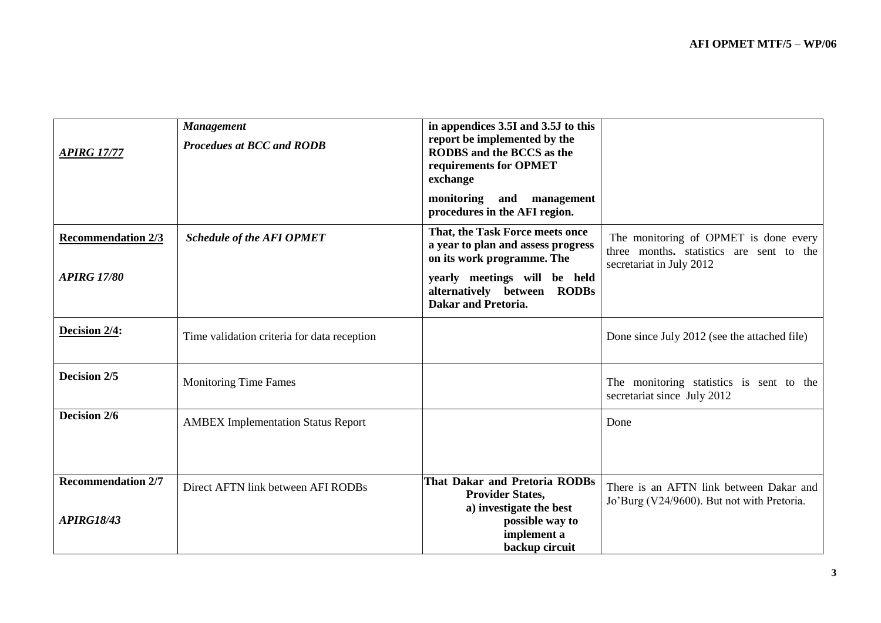| <b>APIRG 17/77</b>                             | <b>Management</b><br><b>Procedues at BCC and RODB</b> | in appendices 3.5I and 3.5J to this<br>report be implemented by the<br><b>RODBS</b> and the BCCS as the<br>requirements for OPMET<br>exchange |                                                                                                               |
|------------------------------------------------|-------------------------------------------------------|-----------------------------------------------------------------------------------------------------------------------------------------------|---------------------------------------------------------------------------------------------------------------|
|                                                |                                                       | monitoring<br>and<br>management<br>procedures in the AFI region.                                                                              |                                                                                                               |
| <b>Recommendation 2/3</b>                      | <b>Schedule of the AFI OPMET</b>                      | That, the Task Force meets once<br>a year to plan and assess progress<br>on its work programme. The                                           | The monitoring of OPMET is done every<br>three months, statistics are sent to the<br>secretariat in July 2012 |
| <b>APIRG 17/80</b>                             |                                                       | yearly meetings will be held<br>alternatively between RODBs<br><b>Dakar and Pretoria.</b>                                                     |                                                                                                               |
| Decision 2/4:                                  | Time validation criteria for data reception           |                                                                                                                                               | Done since July 2012 (see the attached file)                                                                  |
| Decision 2/5                                   | <b>Monitoring Time Fames</b>                          |                                                                                                                                               | The monitoring statistics is sent to the<br>secretariat since July 2012                                       |
| Decision 2/6                                   | <b>AMBEX Implementation Status Report</b>             |                                                                                                                                               | Done                                                                                                          |
| <b>Recommendation 2/7</b><br><b>APIRG18/43</b> | Direct AFTN link between AFI RODBs                    | That Dakar and Pretoria RODBs<br><b>Provider States,</b><br>a) investigate the best<br>possible way to<br>implement a<br>backup circuit       | There is an AFTN link between Dakar and<br>Jo'Burg (V24/9600). But not with Pretoria.                         |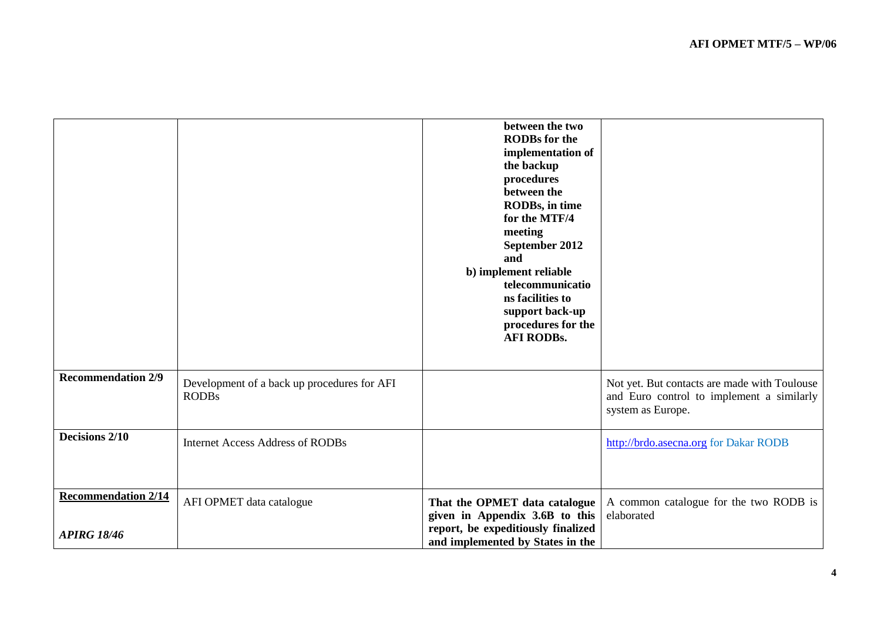|                                                  |                                                             | between the two<br><b>RODBs</b> for the<br>implementation of<br>the backup<br>procedures<br>between the<br>RODBs, in time<br>for the MTF/4<br>meeting<br>September 2012<br>and<br>b) implement reliable<br>telecommunicatio<br>ns facilities to<br>support back-up<br>procedures for the<br><b>AFI RODBs.</b> |                                                                                                                |
|--------------------------------------------------|-------------------------------------------------------------|---------------------------------------------------------------------------------------------------------------------------------------------------------------------------------------------------------------------------------------------------------------------------------------------------------------|----------------------------------------------------------------------------------------------------------------|
| <b>Recommendation 2/9</b>                        | Development of a back up procedures for AFI<br><b>RODBs</b> |                                                                                                                                                                                                                                                                                                               | Not yet. But contacts are made with Toulouse<br>and Euro control to implement a similarly<br>system as Europe. |
| Decisions 2/10                                   | <b>Internet Access Address of RODBs</b>                     |                                                                                                                                                                                                                                                                                                               | http://brdo.asecna.org for Dakar RODB                                                                          |
| <b>Recommendation 2/14</b><br><b>APIRG 18/46</b> | AFI OPMET data catalogue                                    | That the OPMET data catalogue<br>given in Appendix 3.6B to this<br>report, be expeditiously finalized<br>and implemented by States in the                                                                                                                                                                     | A common catalogue for the two RODB is<br>elaborated                                                           |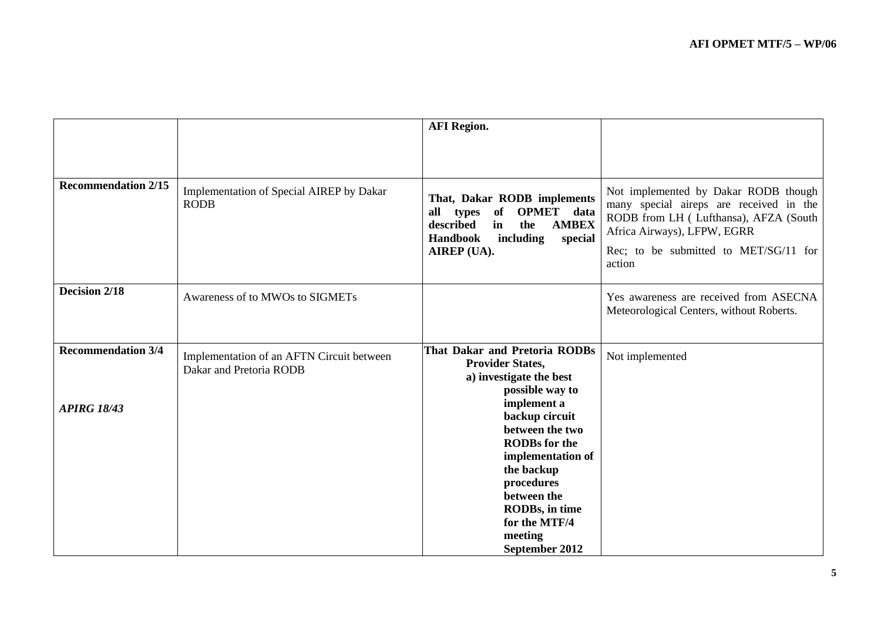|                            |                                                                      | <b>AFI</b> Region.                                                                                                                                                                                       |                                                                                                                                                                                                            |
|----------------------------|----------------------------------------------------------------------|----------------------------------------------------------------------------------------------------------------------------------------------------------------------------------------------------------|------------------------------------------------------------------------------------------------------------------------------------------------------------------------------------------------------------|
| <b>Recommendation 2/15</b> | Implementation of Special AIREP by Dakar<br><b>RODB</b>              | That, Dakar RODB implements<br>of<br>OPMET data<br>all<br>types<br>described<br>in<br><b>AMBEX</b><br>the<br><b>Handbook</b><br>including<br>special<br>AIREP (UA).                                      | Not implemented by Dakar RODB though<br>many special aireps are received in the<br>RODB from LH (Lufthansa), AFZA (South<br>Africa Airways), LFPW, EGRR<br>Rec; to be submitted to MET/SG/11 for<br>action |
| Decision 2/18              | Awareness of to MWOs to SIGMETs                                      |                                                                                                                                                                                                          | Yes awareness are received from ASECNA<br>Meteorological Centers, without Roberts.                                                                                                                         |
| <b>Recommendation 3/4</b>  | Implementation of an AFTN Circuit between<br>Dakar and Pretoria RODB | <b>That Dakar and Pretoria RODBs</b><br><b>Provider States,</b><br>a) investigate the best<br>possible way to                                                                                            | Not implemented                                                                                                                                                                                            |
| <b>APIRG 18/43</b>         |                                                                      | implement a<br>backup circuit<br>between the two<br><b>RODBs</b> for the<br>implementation of<br>the backup<br>procedures<br>between the<br>RODBs, in time<br>for the MTF/4<br>meeting<br>September 2012 |                                                                                                                                                                                                            |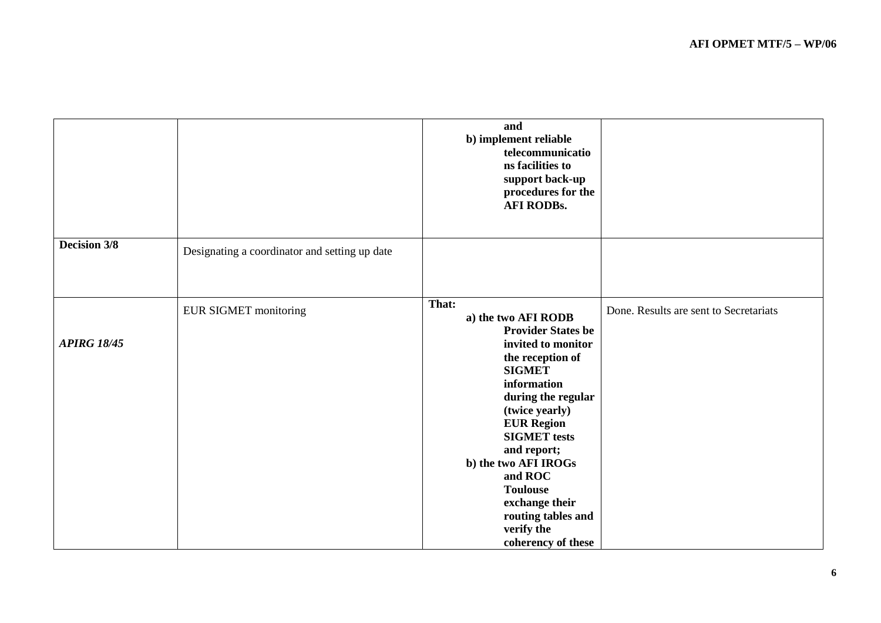|                     |                                               | and<br>b) implement reliable<br>telecommunicatio<br>ns facilities to<br>support back-up<br>procedures for the<br><b>AFI RODBs.</b>                                                                                                                                                                                                                                       |                                        |
|---------------------|-----------------------------------------------|--------------------------------------------------------------------------------------------------------------------------------------------------------------------------------------------------------------------------------------------------------------------------------------------------------------------------------------------------------------------------|----------------------------------------|
| <b>Decision 3/8</b> | Designating a coordinator and setting up date |                                                                                                                                                                                                                                                                                                                                                                          |                                        |
| <b>APIRG 18/45</b>  | <b>EUR SIGMET monitoring</b>                  | That:<br>a) the two AFI RODB<br><b>Provider States be</b><br>invited to monitor<br>the reception of<br><b>SIGMET</b><br>information<br>during the regular<br>(twice yearly)<br><b>EUR Region</b><br><b>SIGMET</b> tests<br>and report;<br>b) the two AFI IROGs<br>and ROC<br><b>Toulouse</b><br>exchange their<br>routing tables and<br>verify the<br>coherency of these | Done. Results are sent to Secretariats |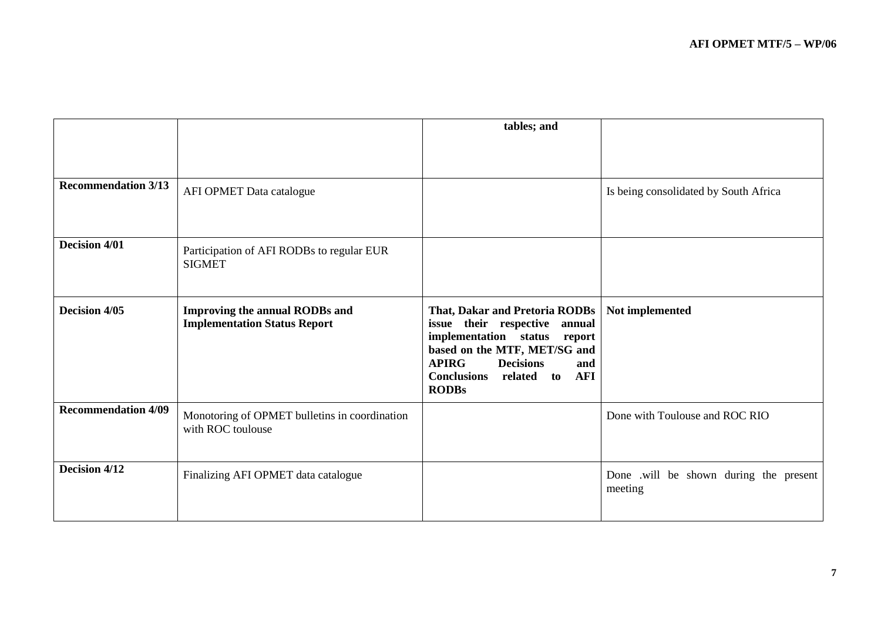|                            |                                                                              | tables; and                                                                                                                                                                                                                                                  |                                                   |
|----------------------------|------------------------------------------------------------------------------|--------------------------------------------------------------------------------------------------------------------------------------------------------------------------------------------------------------------------------------------------------------|---------------------------------------------------|
| <b>Recommendation 3/13</b> | AFI OPMET Data catalogue                                                     |                                                                                                                                                                                                                                                              | Is being consolidated by South Africa             |
| <b>Decision 4/01</b>       | Participation of AFI RODBs to regular EUR<br><b>SIGMET</b>                   |                                                                                                                                                                                                                                                              |                                                   |
| Decision 4/05              | <b>Improving the annual RODBs and</b><br><b>Implementation Status Report</b> | <b>That, Dakar and Pretoria RODBs</b><br>issue their respective<br>annual<br>implementation status<br>report<br>based on the MTF, MET/SG and<br><b>APIRG</b><br><b>Decisions</b><br>and<br><b>Conclusions</b><br><b>AFI</b><br>related<br>to<br><b>RODBs</b> | Not implemented                                   |
| <b>Recommendation 4/09</b> | Monotoring of OPMET bulletins in coordination<br>with ROC toulouse           |                                                                                                                                                                                                                                                              | Done with Toulouse and ROC RIO                    |
| Decision 4/12              | Finalizing AFI OPMET data catalogue                                          |                                                                                                                                                                                                                                                              | Done .will be shown during the present<br>meeting |